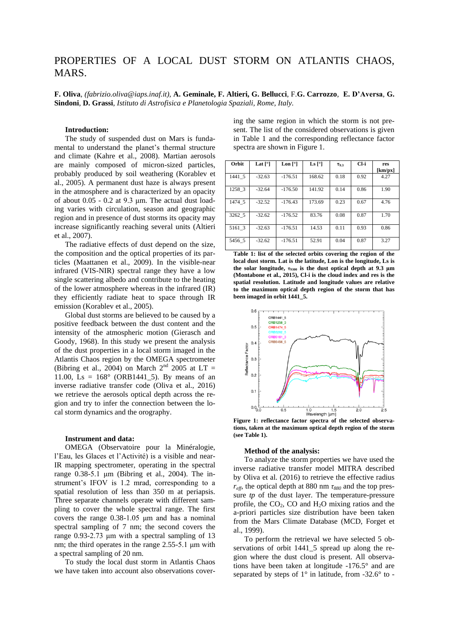# PROPERTIES OF A LOCAL DUST STORM ON ATLANTIS CHAOS, **MARS**

**F. Oliva**, *(fabrizio.oliva@iaps.inaf.it),* **A. Geminale, F. Altieri, G. Bellucci**, F.**G. Carrozzo**, **E. D'Aversa**, **G. Sindoni**, **D. Grassi**, *Istituto di Astrofisica e Planetologia Spaziali, Rome, Italy.*

## **Introduction:**

The study of suspended dust on Mars is fundamental to understand the planet's thermal structure and climate (Kahre et al., 2008). Martian aerosols are mainly composed of micron-sized particles, probably produced by soil weathering (Korablev et al., 2005). A permanent dust haze is always present in the atmosphere and is characterized by an opacity of about 0.05 - 0.2 at 9.3 μm. The actual dust loading varies with circulation, season and geographic region and in presence of dust storms its opacity may increase significantly reaching several units (Altieri et al., 2007).

The radiative effects of dust depend on the size, the composition and the optical properties of its particles (Maattanen et al., 2009). In the visible-near infrared (VIS-NIR) spectral range they have a low single scattering albedo and contribute to the heating of the lower atmosphere whereas in the infrared (IR) they efficiently radiate heat to space through IR emission (Korablev et al., 2005).

Global dust storms are believed to be caused by a positive feedback between the dust content and the intensity of the atmospheric motion (Gierasch and Goody, 1968). In this study we present the analysis of the dust properties in a local storm imaged in the Atlantis Chaos region by the OMEGA spectrometer (Bibring et al., 2004) on March  $2<sup>nd</sup>$  2005 at LT = 11.00, Ls =  $168^\circ$  (ORB1441\_5). By means of an inverse radiative transfer code (Oliva et al., 2016) we retrieve the aerosols optical depth across the region and try to infer the connection between the local storm dynamics and the orography.

## **Instrument and data:**

OMEGA (Observatoire pour la Minéralogie, l'Eau, les Glaces et l'Activité) is a visible and near-IR mapping spectrometer, operating in the spectral range 0.38-5.1 μm (Bibring et al., 2004). The instrument's IFOV is 1.2 mrad, corresponding to a spatial resolution of less than 350 m at periapsis. Three separate channels operate with different sampling to cover the whole spectral range. The first covers the range 0.38-1.05 μm and has a nominal spectral sampling of 7 nm; the second covers the range 0.93-2.73 μm with a spectral sampling of 13 nm; the third operates in the range 2.55-5.1 μm with a spectral sampling of 20 nm.

To study the local dust storm in Atlantis Chaos we have taken into account also observations cover-

| sent. The list of the considered observations is given |  |  |
|--------------------------------------------------------|--|--|
| in Table 1 and the corresponding reflectance factor    |  |  |
| spectra are shown in Figure 1.                         |  |  |
|                                                        |  |  |

ing the same region in which the storm is not pre-

| Orbit  | Lat $[°]$ | Lon $\lceil \circ \rceil$ | Ls $\lceil$ <sup>o</sup> ] | $T_{9.3}$ | Cl-i | res<br>[km/px] |
|--------|-----------|---------------------------|----------------------------|-----------|------|----------------|
| 1441 5 | $-32.63$  | $-176.51$                 | 168.62                     | 0.18      | 0.92 | 4.27           |
| 1258 3 | $-32.64$  | $-176.50$                 | 141.92                     | 0.14      | 0.86 | 1.90           |
| 1474 5 | $-32.52$  | $-176.43$                 | 173.69                     | 0.23      | 0.67 | 4.76           |
| 3262 5 | $-32.62$  | $-176.52$                 | 83.76                      | 0.08      | 0.87 | 1.70           |
| 5161 3 | $-32.63$  | $-176.51$                 | 14.53                      | 0.11      | 0.93 | 0.86           |
| 5456 5 | $-32.62$  | $-176.51$                 | 52.91                      | 0.04      | 0.87 | 3.27           |

**Table 1: list of the selected orbits covering the region of the local dust storm. Lat is the latitude, Lon is the longitude, Ls is the solar longitude, τ<sup>9300</sup> is the dust optical depth at 9.3 μm (Montabone et al., 2015), Cl-i is the cloud index and res is the spatial resolution. Latitude and longitude values are relative to the maximum optical depth region of the storm that has been imaged in orbit 1441\_5.**



**tions, taken at the maximum optical depth region of the storm (see Table 1).**

## **Method of the analysis:**

To analyze the storm properties we have used the inverse radiative transfer model MITRA described by Oliva et al. (2016) to retrieve the effective radius  $r_{\text{eff}}$ , the optical depth at 880 nm  $\tau_{880}$  and the top pressure *tp* of the dust layer. The temperature-pressure profile, the  $CO<sub>2</sub>$ , CO and  $H<sub>2</sub>O$  mixing ratios and the a-priori particles size distribution have been taken from the Mars Climate Database (MCD, Forget et al., 1999).

To perform the retrieval we have selected 5 observations of orbit 1441\_5 spread up along the region where the dust cloud is present. All observations have been taken at longitude -176.5° and are separated by steps of  $1^\circ$  in latitude, from -32.6 $^\circ$  to -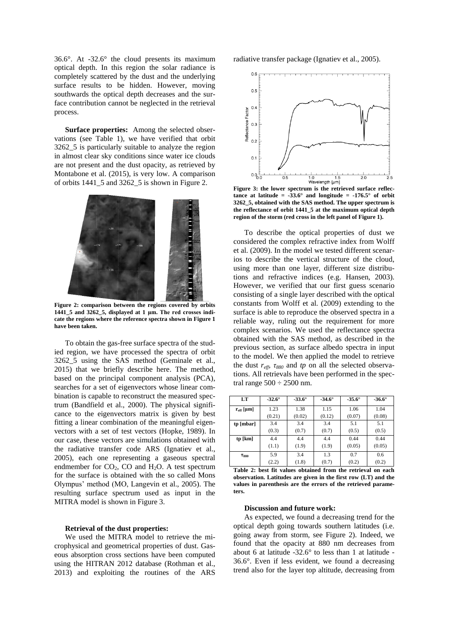36.6°. At -32.6° the cloud presents its maximum optical depth. In this region the solar radiance is completely scattered by the dust and the underlying surface results to be hidden. However, moving southwards the optical depth decreases and the surface contribution cannot be neglected in the retrieval process.

**Surface properties:** Among the selected observations (see Table 1), we have verified that orbit 3262\_5 is particularly suitable to analyze the region in almost clear sky conditions since water ice clouds are not present and the dust opacity, as retrieved by Montabone et al. (2015), is very low. A comparison of orbits  $1441\,5$  and  $3262\,5$  is shown in Figure 2.



**Figure 2: comparison between the regions covered by orbits 1441\_5 and 3262\_5, displayed at 1 μm. The red crosses indicate the regions where the reference spectra shown in Figure 1 have been taken.**

To obtain the gas-free surface spectra of the studied region, we have processed the spectra of orbit 3262\_5 using the SAS method (Geminale et al., 2015) that we briefly describe here. The method, based on the principal component analysis (PCA), searches for a set of eigenvectors whose linear combination is capable to reconstruct the measured spectrum (Bandfield et al., 2000). The physical significance to the eigenvectors matrix is given by best fitting a linear combination of the meaningful eigenvectors with a set of test vectors (Hopke, 1989). In our case, these vectors are simulations obtained with the radiative transfer code ARS (Ignatiev et al., 2005), each one representing a gaseous spectral endmember for  $CO<sub>2</sub>$ , CO and H<sub>2</sub>O. A test spectrum for the surface is obtained with the so called Mons Olympus' method (MO, Langevin et al., 2005). The resulting surface spectrum used as input in the MITRA model is shown in Figure 3.

#### **Retrieval of the dust properties:**

We used the MITRA model to retrieve the microphysical and geometrical properties of dust. Gaseous absorption cross sections have been computed using the HITRAN 2012 database (Rothman et al., 2013) and exploiting the routines of the ARS

radiative transfer package (Ignatiev et al., 2005).



**Figure 3: the lower spectrum is the retrieved surface reflec**tance at latitude =  $\cdot 33.6^\circ$  and longitude =  $\cdot 176.5^\circ$  of orbit **3262\_5, obtained with the SAS method. The upper spectrum is the reflectance of orbit 1441\_5 at the maximum optical depth region of the storm (red cross in the left panel of Figure 1).**

To describe the optical properties of dust we considered the complex refractive index from Wolff et al. (2009). In the model we tested different scenarios to describe the vertical structure of the cloud, using more than one layer, different size distributions and refractive indices (e.g. Hansen, 2003). However, we verified that our first guess scenario consisting of a single layer described with the optical constants from Wolff et al. (2009) extending to the surface is able to reproduce the observed spectra in a reliable way, ruling out the requirement for more complex scenarios. We used the reflectance spectra obtained with the SAS method, as described in the previous section, as surface albedo spectra in input to the model. We then applied the model to retrieve the dust *reff*, *τ<sup>880</sup>* and *tp* on all the selected observations. All retrievals have been performed in the spectral range  $500 \div 2500$  nm.

| LT                 | $-32.6^{\circ}$ | $-33.6^{\circ}$ | $-34.6^{\circ}$ | $-35.6^{\circ}$ | $-36.6^{\circ}$ |
|--------------------|-----------------|-----------------|-----------------|-----------------|-----------------|
| $r_{\rm eff}$ [µm] | 1.23            | 1.38            | 1.15            | 1.06            | 1.04            |
|                    | (0.21)          | (0.02)          | (0.12)          | (0.07)          | (0.08)          |
| tp [mbar]          | 3.4             | 3.4             | 3.4             | 5.1             | 5.1             |
|                    | (0.3)           | (0.7)           | (0.7)           | (0.5)           | (0.5)           |
| tp [km]            | 4.4             | 4.4             | 4.4             | 0.44            | 0.44            |
|                    | (1.1)           | (1.9)           | (1.9)           | (0.05)          | (0.05)          |
| $\tau_{880}$       | 5.9             | 3.4             | 1.3             | 0.7             | 0.6             |
|                    | (2.2)           | (1.8)           | (0.7)           | (0.2)           | (0.2)           |

**Table 2: best fit values obtained from the retrieval on each observation. Latitudes are given in the first row (LT) and the values in parenthesis are the errors of the retrieved parameters.**

## **Discussion and future work:**

As expected, we found a decreasing trend for the optical depth going towards southern latitudes (i.e. going away from storm, see Figure 2). Indeed, we found that the opacity at 880 nm decreases from about 6 at latitude -32.6° to less than 1 at latitude - 36.6°. Even if less evident, we found a decreasing trend also for the layer top altitude, decreasing from